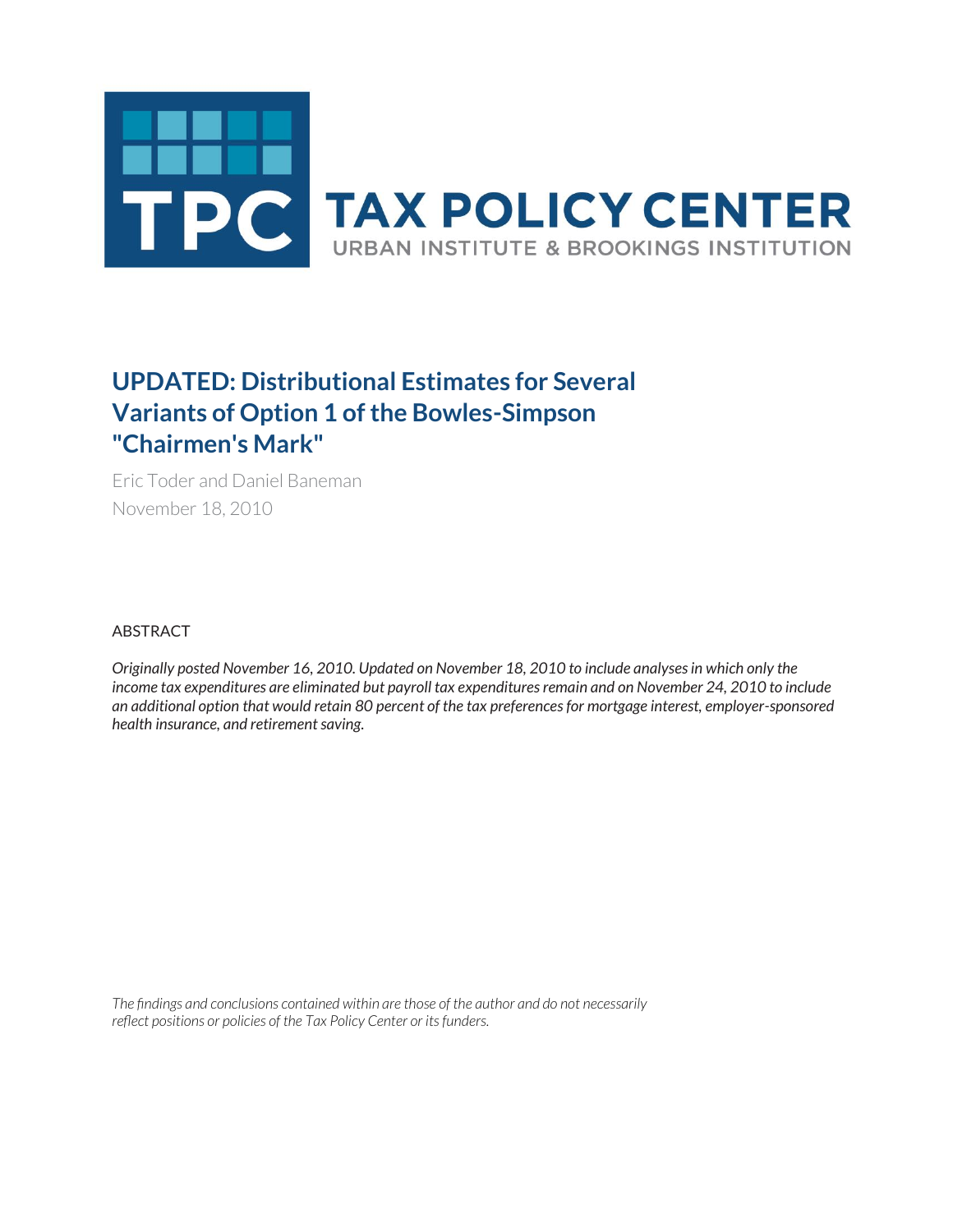

## **UPDATED: Distributional Estimates for Several Variants of Option 1 of the Bowles-Simpson "Chairmen's Mark"**

Eric Toder and Daniel Baneman November 18, 2010

ABSTRACT

*Originally posted November 16, 2010. Updated on November 18, 2010 to include analyses in which only the income tax expenditures are eliminated but payroll tax expenditures remain and on November 24, 2010 to include an additional option that would retain 80 percent of the tax preferences for mortgage interest, employer-sponsored health insurance, and retirement saving.*

*The findings and conclusions contained within are those of the author and do not necessarily reflect positions or policies of the Tax Policy Center or its funders.*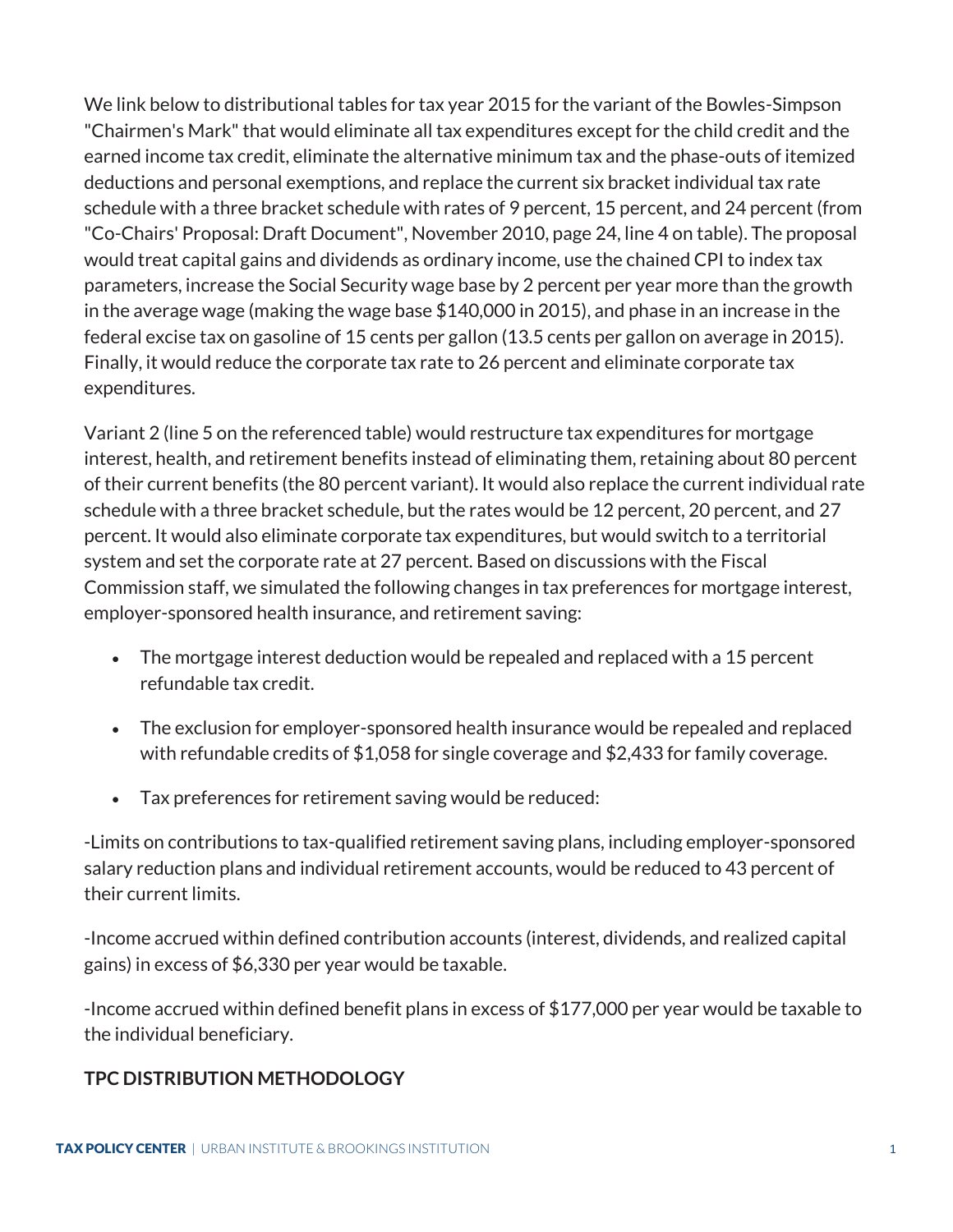We link below to distributional tables for tax year 2015 for the variant of the Bowles-Simpson "Chairmen's Mark" that would eliminate all tax expenditures except for the child credit and the earned income tax credit, eliminate the alternative minimum tax and the phase-outs of itemized deductions and personal exemptions, and replace the current six bracket individual tax rate schedule with a three bracket schedule with rates of 9 percent, 15 percent, and 24 percent (from "Co-Chairs' Proposal: Draft Document", November 2010, page 24, line 4 on table). The proposal would treat capital gains and dividends as ordinary income, use the chained CPI to index tax parameters, increase the Social Security wage base by 2 percent per year more than the growth in the average wage (making the wage base \$140,000 in 2015), and phase in an increase in the federal excise tax on gasoline of 15 cents per gallon (13.5 cents per gallon on average in 2015). Finally, it would reduce the corporate tax rate to 26 percent and eliminate corporate tax expenditures.

Variant 2 (line 5 on the referenced table) would restructure tax expenditures for mortgage interest, health, and retirement benefits instead of eliminating them, retaining about 80 percent of their current benefits (the 80 percent variant). It would also replace the current individual rate schedule with a three bracket schedule, but the rates would be 12 percent, 20 percent, and 27 percent. It would also eliminate corporate tax expenditures, but would switch to a territorial system and set the corporate rate at 27 percent. Based on discussions with the Fiscal Commission staff, we simulated the following changes in tax preferences for mortgage interest, employer-sponsored health insurance, and retirement saving:

- The mortgage interest deduction would be repealed and replaced with a 15 percent refundable tax credit.
- The exclusion for employer-sponsored health insurance would be repealed and replaced with refundable credits of \$1,058 for single coverage and \$2,433 for family coverage.
- Tax preferences for retirement saving would be reduced:

-Limits on contributions to tax-qualified retirement saving plans, including employer-sponsored salary reduction plans and individual retirement accounts, would be reduced to 43 percent of their current limits.

-Income accrued within defined contribution accounts (interest, dividends, and realized capital gains) in excess of \$6,330 per year would be taxable.

-Income accrued within defined benefit plans in excess of \$177,000 per year would be taxable to the individual beneficiary.

## **TPC DISTRIBUTION METHODOLOGY**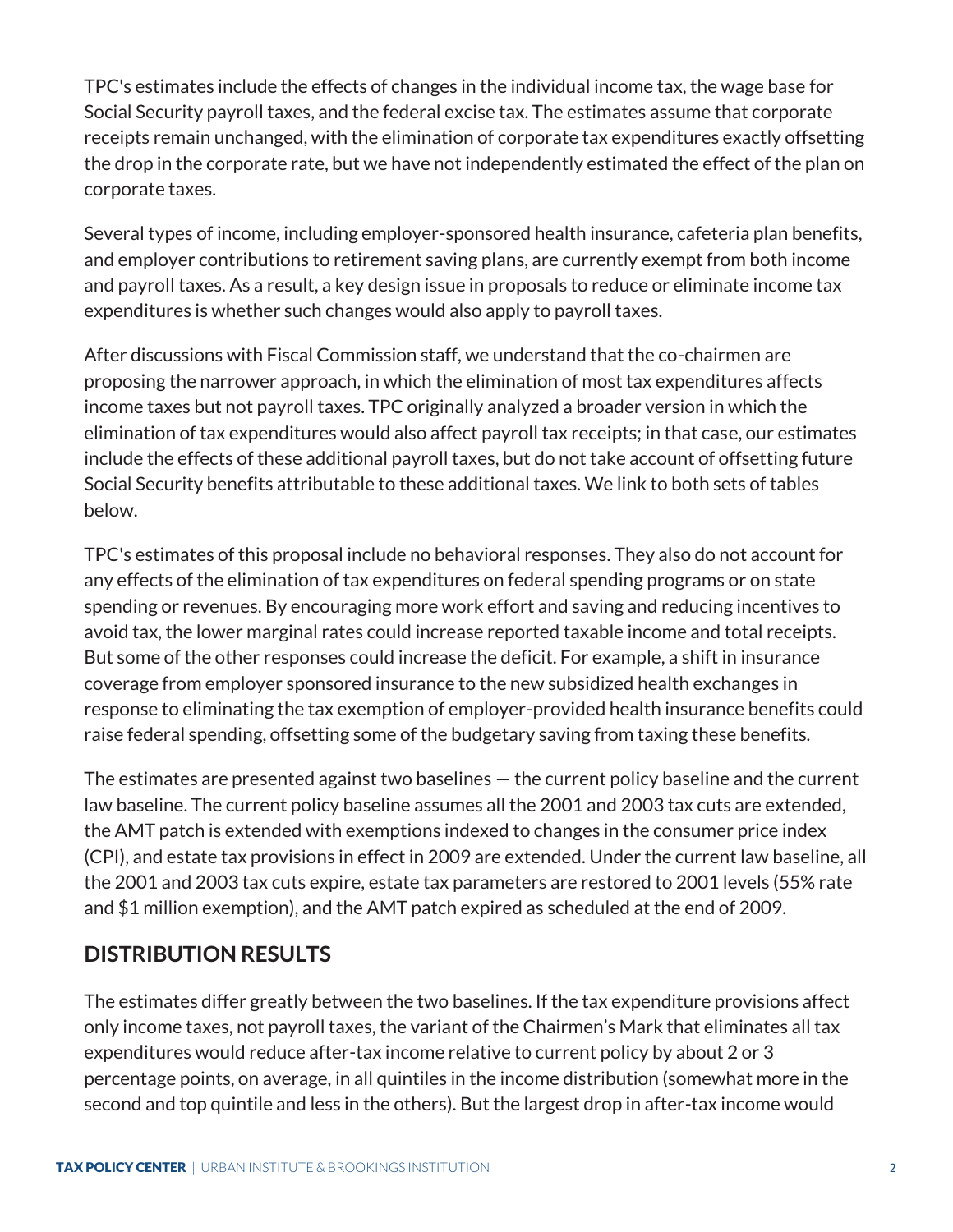TPC's estimates include the effects of changes in the individual income tax, the wage base for Social Security payroll taxes, and the federal excise tax. The estimates assume that corporate receipts remain unchanged, with the elimination of corporate tax expenditures exactly offsetting the drop in the corporate rate, but we have not independently estimated the effect of the plan on corporate taxes.

Several types of income, including employer-sponsored health insurance, cafeteria plan benefits, and employer contributions to retirement saving plans, are currently exempt from both income and payroll taxes. As a result, a key design issue in proposals to reduce or eliminate income tax expenditures is whether such changes would also apply to payroll taxes.

After discussions with Fiscal Commission staff, we understand that the co-chairmen are proposing the narrower approach, in which the elimination of most tax expenditures affects income taxes but not payroll taxes. TPC originally analyzed a broader version in which the elimination of tax expenditures would also affect payroll tax receipts; in that case, our estimates include the effects of these additional payroll taxes, but do not take account of offsetting future Social Security benefits attributable to these additional taxes. We link to both sets of tables below.

TPC's estimates of this proposal include no behavioral responses. They also do not account for any effects of the elimination of tax expenditures on federal spending programs or on state spending or revenues. By encouraging more work effort and saving and reducing incentives to avoid tax, the lower marginal rates could increase reported taxable income and total receipts. But some of the other responses could increase the deficit. For example, a shift in insurance coverage from employer sponsored insurance to the new subsidized health exchanges in response to eliminating the tax exemption of employer-provided health insurance benefits could raise federal spending, offsetting some of the budgetary saving from taxing these benefits.

The estimates are presented against two baselines — the current policy baseline and the current law baseline. The current policy baseline assumes all the 2001 and 2003 tax cuts are extended, the AMT patch is extended with exemptions indexed to changes in the consumer price index (CPI), and estate tax provisions in effect in 2009 are extended. Under the current law baseline, all the 2001 and 2003 tax cuts expire, estate tax parameters are restored to 2001 levels (55% rate and \$1 million exemption), and the AMT patch expired as scheduled at the end of 2009.

## **DISTRIBUTION RESULTS**

The estimates differ greatly between the two baselines. If the tax expenditure provisions affect only income taxes, not payroll taxes, the variant of the Chairmen's Mark that eliminates all tax expenditures would reduce after-tax income relative to current policy by about 2 or 3 percentage points, on average, in all quintiles in the income distribution (somewhat more in the second and top quintile and less in the others). But the largest drop in after-tax income would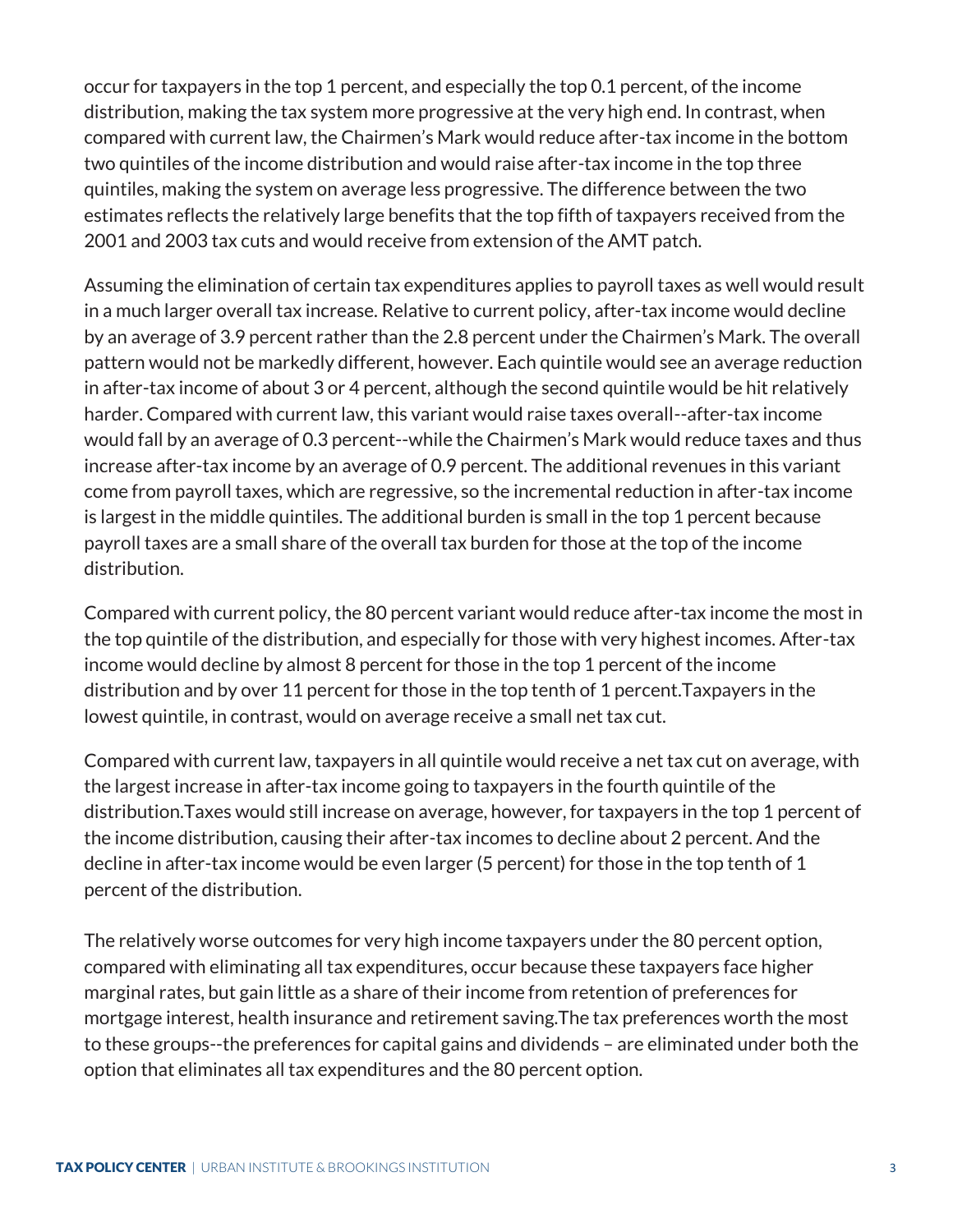occur for taxpayers in the top 1 percent, and especially the top 0.1 percent, of the income distribution, making the tax system more progressive at the very high end. In contrast, when compared with current law, the Chairmen's Mark would reduce after-tax income in the bottom two quintiles of the income distribution and would raise after-tax income in the top three quintiles, making the system on average less progressive. The difference between the two estimates reflects the relatively large benefits that the top fifth of taxpayers received from the 2001 and 2003 tax cuts and would receive from extension of the AMT patch.

Assuming the elimination of certain tax expenditures applies to payroll taxes as well would result in a much larger overall tax increase. Relative to current policy, after-tax income would decline by an average of 3.9 percent rather than the 2.8 percent under the Chairmen's Mark. The overall pattern would not be markedly different, however. Each quintile would see an average reduction in after-tax income of about 3 or 4 percent, although the second quintile would be hit relatively harder. Compared with current law, this variant would raise taxes overall--after-tax income would fall by an average of 0.3 percent--while the Chairmen's Mark would reduce taxes and thus increase after-tax income by an average of 0.9 percent. The additional revenues in this variant come from payroll taxes, which are regressive, so the incremental reduction in after-tax income is largest in the middle quintiles. The additional burden is small in the top 1 percent because payroll taxes are a small share of the overall tax burden for those at the top of the income distribution.

Compared with current policy, the 80 percent variant would reduce after-tax income the most in the top quintile of the distribution, and especially for those with very highest incomes. After-tax income would decline by almost 8 percent for those in the top 1 percent of the income distribution and by over 11 percent for those in the top tenth of 1 percent.Taxpayers in the lowest quintile, in contrast, would on average receive a small net tax cut.

Compared with current law, taxpayers in all quintile would receive a net tax cut on average, with the largest increase in after-tax income going to taxpayers in the fourth quintile of the distribution.Taxes would still increase on average, however, for taxpayers in the top 1 percent of the income distribution, causing their after-tax incomes to decline about 2 percent. And the decline in after-tax income would be even larger (5 percent) for those in the top tenth of 1 percent of the distribution.

The relatively worse outcomes for very high income taxpayers under the 80 percent option, compared with eliminating all tax expenditures, occur because these taxpayers face higher marginal rates, but gain little as a share of their income from retention of preferences for mortgage interest, health insurance and retirement saving.The tax preferences worth the most to these groups--the preferences for capital gains and dividends – are eliminated under both the option that eliminates all tax expenditures and the 80 percent option.